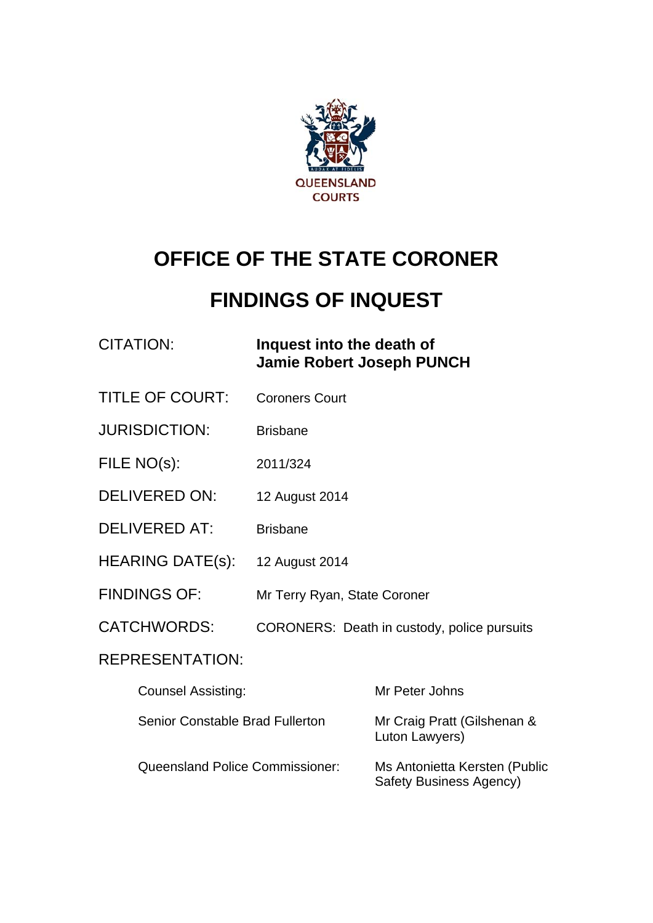

# **OFFICE OF THE STATE CORONER**

# **FINDINGS OF INQUEST**

## CITATION: **Inquest into the death of Jamie Robert Joseph PUNCH**

- TITLE OF COURT: Coroners Court
- JURISDICTION: Brisbane
- FILE NO(s): 2011/324
- DELIVERED ON: 12 August 2014
- DELIVERED AT: Brisbane
- HEARING DATE(s): 12 August 2014
- FINDINGS OF: Mr Terry Ryan, State Coroner
- CATCHWORDS: CORONERS: Death in custody, police pursuits

## REPRESENTATION:

| <b>Counsel Assisting:</b>       | Mr Peter Johns                                                  |
|---------------------------------|-----------------------------------------------------------------|
| Senior Constable Brad Fullerton | Mr Craig Pratt (Gilshenan &<br>Luton Lawyers)                   |
| Queensland Police Commissioner: | Ms Antonietta Kersten (Public<br><b>Safety Business Agency)</b> |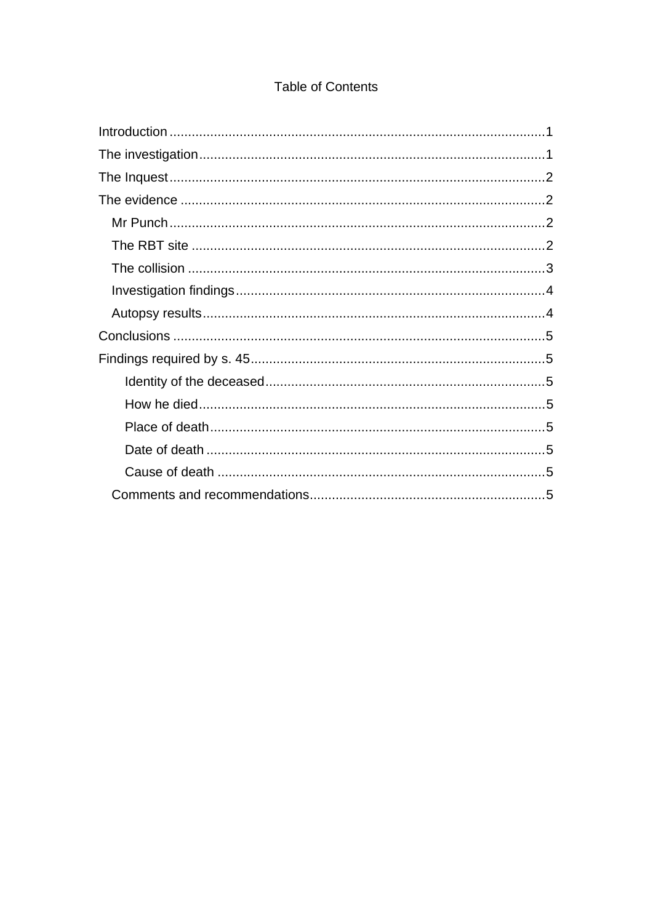## **Table of Contents**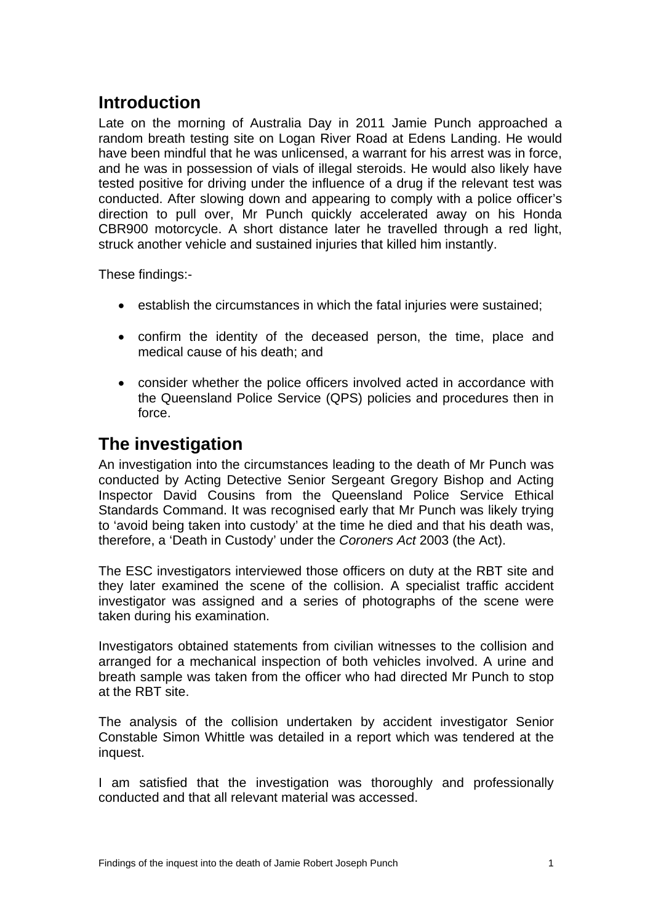## <span id="page-2-0"></span>**Introduction**

Late on the morning of Australia Day in 2011 Jamie Punch approached a random breath testing site on Logan River Road at Edens Landing. He would have been mindful that he was unlicensed, a warrant for his arrest was in force, and he was in possession of vials of illegal steroids. He would also likely have tested positive for driving under the influence of a drug if the relevant test was conducted. After slowing down and appearing to comply with a police officer's direction to pull over, Mr Punch quickly accelerated away on his Honda CBR900 motorcycle. A short distance later he travelled through a red light, struck another vehicle and sustained injuries that killed him instantly.

These findings:-

- establish the circumstances in which the fatal injuries were sustained;
- confirm the identity of the deceased person, the time, place and medical cause of his death; and
- consider whether the police officers involved acted in accordance with the Queensland Police Service (QPS) policies and procedures then in force.

## <span id="page-2-1"></span>**The investigation**

An investigation into the circumstances leading to the death of Mr Punch was conducted by Acting Detective Senior Sergeant Gregory Bishop and Acting Inspector David Cousins from the Queensland Police Service Ethical Standards Command. It was recognised early that Mr Punch was likely trying to 'avoid being taken into custody' at the time he died and that his death was, therefore, a 'Death in Custody' under the *Coroners Act* 2003 (the Act).

The ESC investigators interviewed those officers on duty at the RBT site and they later examined the scene of the collision. A specialist traffic accident investigator was assigned and a series of photographs of the scene were taken during his examination.

Investigators obtained statements from civilian witnesses to the collision and arranged for a mechanical inspection of both vehicles involved. A urine and breath sample was taken from the officer who had directed Mr Punch to stop at the RBT site.

The analysis of the collision undertaken by accident investigator Senior Constable Simon Whittle was detailed in a report which was tendered at the inquest.

I am satisfied that the investigation was thoroughly and professionally conducted and that all relevant material was accessed.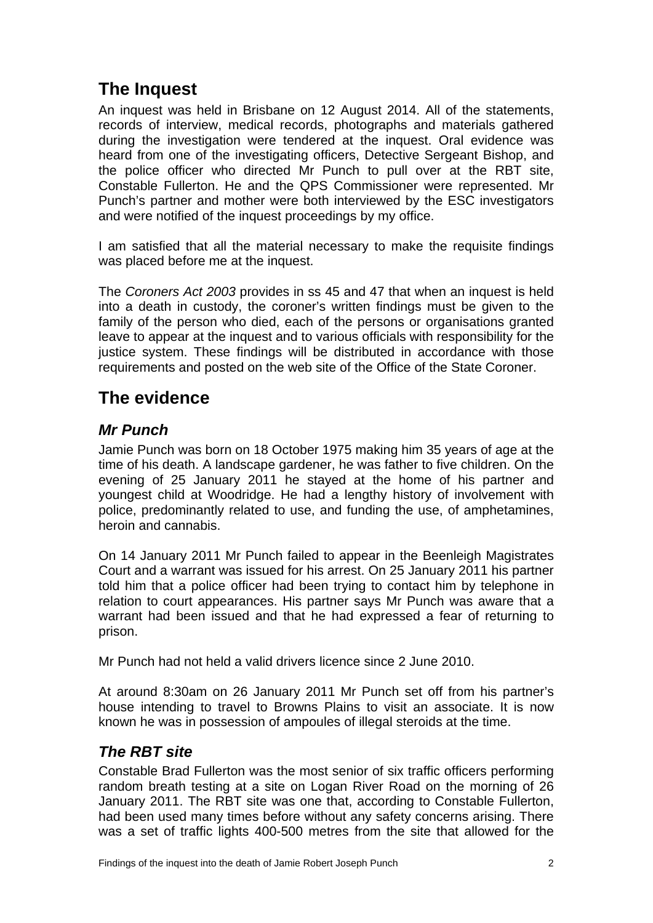## <span id="page-3-0"></span>**The Inquest**

An inquest was held in Brisbane on 12 August 2014. All of the statements, records of interview, medical records, photographs and materials gathered during the investigation were tendered at the inquest. Oral evidence was heard from one of the investigating officers, Detective Sergeant Bishop, and the police officer who directed Mr Punch to pull over at the RBT site, Constable Fullerton. He and the QPS Commissioner were represented. Mr Punch's partner and mother were both interviewed by the ESC investigators and were notified of the inquest proceedings by my office.

I am satisfied that all the material necessary to make the requisite findings was placed before me at the inquest.

The *Coroners Act 2003* provides in ss 45 and 47 that when an inquest is held into a death in custody, the coroner's written findings must be given to the family of the person who died, each of the persons or organisations granted leave to appear at the inquest and to various officials with responsibility for the justice system. These findings will be distributed in accordance with those requirements and posted on the web site of the Office of the State Coroner.

## <span id="page-3-1"></span>**The evidence**

## <span id="page-3-2"></span>*Mr Punch*

Jamie Punch was born on 18 October 1975 making him 35 years of age at the time of his death. A landscape gardener, he was father to five children. On the evening of 25 January 2011 he stayed at the home of his partner and youngest child at Woodridge. He had a lengthy history of involvement with police, predominantly related to use, and funding the use, of amphetamines, heroin and cannabis.

On 14 January 2011 Mr Punch failed to appear in the Beenleigh Magistrates Court and a warrant was issued for his arrest. On 25 January 2011 his partner told him that a police officer had been trying to contact him by telephone in relation to court appearances. His partner says Mr Punch was aware that a warrant had been issued and that he had expressed a fear of returning to prison.

Mr Punch had not held a valid drivers licence since 2 June 2010.

At around 8:30am on 26 January 2011 Mr Punch set off from his partner's house intending to travel to Browns Plains to visit an associate. It is now known he was in possession of ampoules of illegal steroids at the time.

## <span id="page-3-3"></span>*The RBT site*

Constable Brad Fullerton was the most senior of six traffic officers performing random breath testing at a site on Logan River Road on the morning of 26 January 2011. The RBT site was one that, according to Constable Fullerton, had been used many times before without any safety concerns arising. There was a set of traffic lights 400-500 metres from the site that allowed for the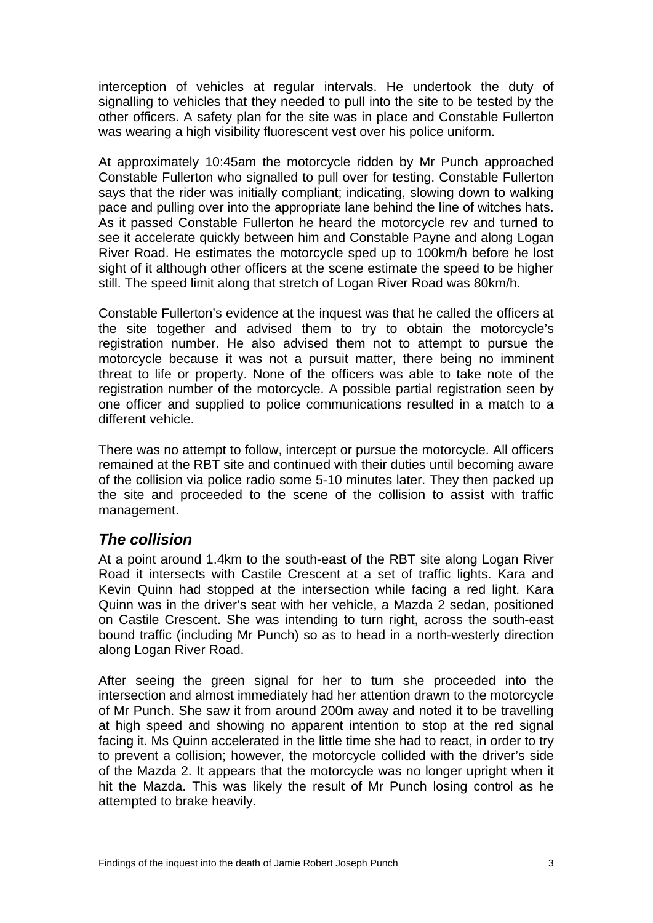interception of vehicles at regular intervals. He undertook the duty of signalling to vehicles that they needed to pull into the site to be tested by the other officers. A safety plan for the site was in place and Constable Fullerton was wearing a high visibility fluorescent vest over his police uniform.

At approximately 10:45am the motorcycle ridden by Mr Punch approached Constable Fullerton who signalled to pull over for testing. Constable Fullerton says that the rider was initially compliant; indicating, slowing down to walking pace and pulling over into the appropriate lane behind the line of witches hats. As it passed Constable Fullerton he heard the motorcycle rev and turned to see it accelerate quickly between him and Constable Payne and along Logan River Road. He estimates the motorcycle sped up to 100km/h before he lost sight of it although other officers at the scene estimate the speed to be higher still. The speed limit along that stretch of Logan River Road was 80km/h.

Constable Fullerton's evidence at the inquest was that he called the officers at the site together and advised them to try to obtain the motorcycle's registration number. He also advised them not to attempt to pursue the motorcycle because it was not a pursuit matter, there being no imminent threat to life or property. None of the officers was able to take note of the registration number of the motorcycle. A possible partial registration seen by one officer and supplied to police communications resulted in a match to a different vehicle.

There was no attempt to follow, intercept or pursue the motorcycle. All officers remained at the RBT site and continued with their duties until becoming aware of the collision via police radio some 5-10 minutes later. They then packed up the site and proceeded to the scene of the collision to assist with traffic management.

#### <span id="page-4-0"></span>*The collision*

At a point around 1.4km to the south-east of the RBT site along Logan River Road it intersects with Castile Crescent at a set of traffic lights. Kara and Kevin Quinn had stopped at the intersection while facing a red light. Kara Quinn was in the driver's seat with her vehicle, a Mazda 2 sedan, positioned on Castile Crescent. She was intending to turn right, across the south-east bound traffic (including Mr Punch) so as to head in a north-westerly direction along Logan River Road.

After seeing the green signal for her to turn she proceeded into the intersection and almost immediately had her attention drawn to the motorcycle of Mr Punch. She saw it from around 200m away and noted it to be travelling at high speed and showing no apparent intention to stop at the red signal facing it. Ms Quinn accelerated in the little time she had to react, in order to try to prevent a collision; however, the motorcycle collided with the driver's side of the Mazda 2. It appears that the motorcycle was no longer upright when it hit the Mazda. This was likely the result of Mr Punch losing control as he attempted to brake heavily.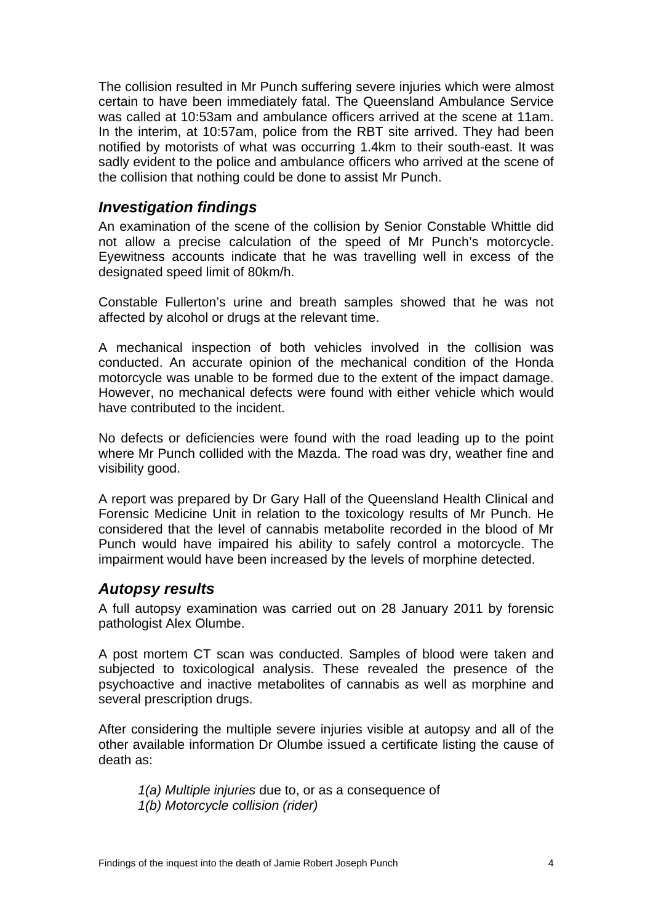The collision resulted in Mr Punch suffering severe injuries which were almost certain to have been immediately fatal. The Queensland Ambulance Service was called at 10:53am and ambulance officers arrived at the scene at 11am. In the interim, at 10:57am, police from the RBT site arrived. They had been notified by motorists of what was occurring 1.4km to their south-east. It was sadly evident to the police and ambulance officers who arrived at the scene of the collision that nothing could be done to assist Mr Punch.

#### <span id="page-5-0"></span>*Investigation findings*

An examination of the scene of the collision by Senior Constable Whittle did not allow a precise calculation of the speed of Mr Punch's motorcycle. Eyewitness accounts indicate that he was travelling well in excess of the designated speed limit of 80km/h.

Constable Fullerton's urine and breath samples showed that he was not affected by alcohol or drugs at the relevant time.

A mechanical inspection of both vehicles involved in the collision was conducted. An accurate opinion of the mechanical condition of the Honda motorcycle was unable to be formed due to the extent of the impact damage. However, no mechanical defects were found with either vehicle which would have contributed to the incident.

No defects or deficiencies were found with the road leading up to the point where Mr Punch collided with the Mazda. The road was dry, weather fine and visibility good.

A report was prepared by Dr Gary Hall of the Queensland Health Clinical and Forensic Medicine Unit in relation to the toxicology results of Mr Punch. He considered that the level of cannabis metabolite recorded in the blood of Mr Punch would have impaired his ability to safely control a motorcycle. The impairment would have been increased by the levels of morphine detected.

#### <span id="page-5-1"></span>*Autopsy results*

A full autopsy examination was carried out on 28 January 2011 by forensic pathologist Alex Olumbe.

A post mortem CT scan was conducted. Samples of blood were taken and subjected to toxicological analysis. These revealed the presence of the psychoactive and inactive metabolites of cannabis as well as morphine and several prescription drugs.

After considering the multiple severe injuries visible at autopsy and all of the other available information Dr Olumbe issued a certificate listing the cause of death as:

*1(a) Multiple injuries* due to, or as a consequence of *1(b) Motorcycle collision (rider)*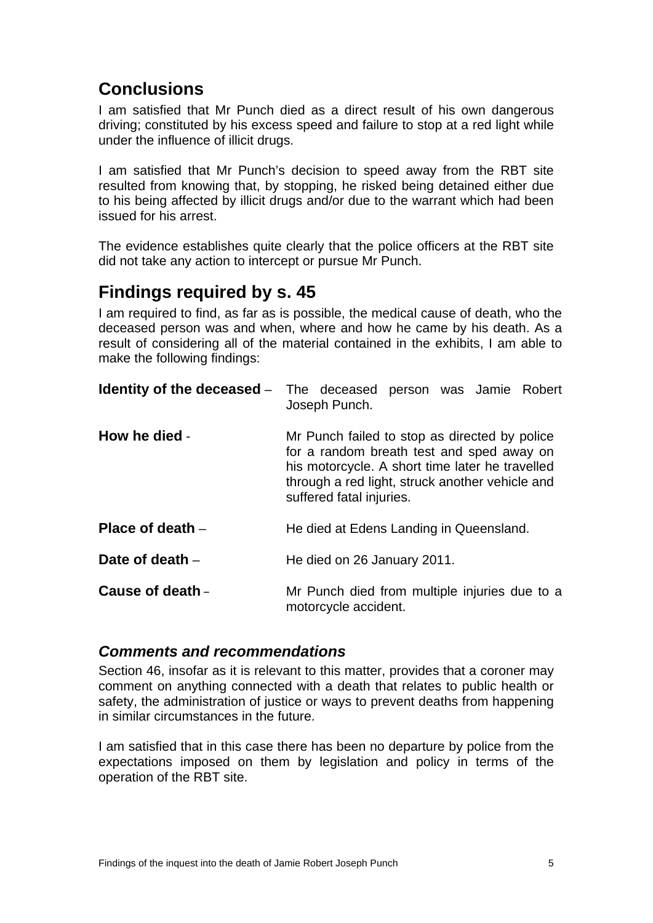## <span id="page-6-0"></span>**Conclusions**

I am satisfied that Mr Punch died as a direct result of his own dangerous driving; constituted by his excess speed and failure to stop at a red light while under the influence of illicit drugs.

I am satisfied that Mr Punch's decision to speed away from the RBT site resulted from knowing that, by stopping, he risked being detained either due to his being affected by illicit drugs and/or due to the warrant which had been issued for his arrest.

The evidence establishes quite clearly that the police officers at the RBT site did not take any action to intercept or pursue Mr Punch.

## <span id="page-6-1"></span>**Findings required by s. 45**

I am required to find, as far as is possible, the medical cause of death, who the deceased person was and when, where and how he came by his death. As a result of considering all of the material contained in the exhibits, I am able to make the following findings:

<span id="page-6-3"></span><span id="page-6-2"></span>

|                    | <b>Identity of the deceased</b> - The deceased person was Jamie Robert<br>Joseph Punch.                                                                                                                                      |
|--------------------|------------------------------------------------------------------------------------------------------------------------------------------------------------------------------------------------------------------------------|
| How he died -      | Mr Punch failed to stop as directed by police<br>for a random breath test and sped away on<br>his motorcycle. A short time later he travelled<br>through a red light, struck another vehicle and<br>suffered fatal injuries. |
| Place of death $-$ | He died at Edens Landing in Queensland.                                                                                                                                                                                      |
| Date of death $-$  | He died on 26 January 2011.                                                                                                                                                                                                  |
| Cause of death -   | Mr Punch died from multiple injuries due to a<br>motorcycle accident.                                                                                                                                                        |

#### <span id="page-6-7"></span><span id="page-6-6"></span><span id="page-6-5"></span><span id="page-6-4"></span>*Comments and recommendations*

Section 46, insofar as it is relevant to this matter, provides that a coroner may comment on anything connected with a death that relates to public health or safety, the administration of justice or ways to prevent deaths from happening in similar circumstances in the future.

I am satisfied that in this case there has been no departure by police from the expectations imposed on them by legislation and policy in terms of the operation of the RBT site.